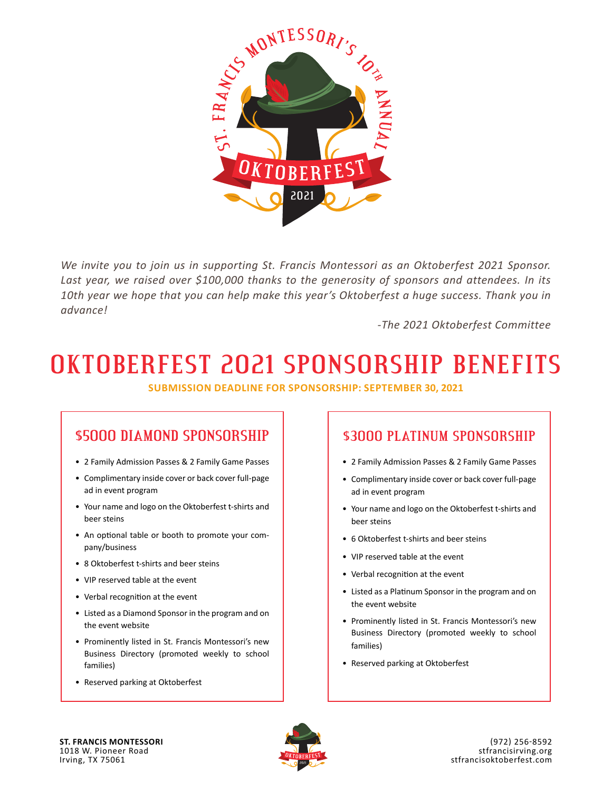

*We invite you to join us in supporting St. Francis Montessori as an Oktoberfest 2021 Sponsor. Last year, we raised over \$100,000 thanks to the generosity of sponsors and attendees. In its 10th year we hope that you can help make this year's Oktoberfest a huge success. Thank you in advance!*

*-The 2021 Oktoberfest Committee*

# **OKTOBERFEST 2021 SPONSORSHIP BENEFITS**

**SUBMISSION DEADLINE FOR SPONSORSHIP: SEPTEMBER 30, 2021**

### **\$5000 DIAMOND SPONSORSHIP**

- 2 Family Admission Passes & 2 Family Game Passes
- Complimentary inside cover or back cover full-page ad in event program
- Your name and logo on the Oktoberfest t-shirts and beer steins
- An optional table or booth to promote your company/business
- 8 Oktoberfest t-shirts and beer steins
- VIP reserved table at the event
- Verbal recognition at the event
- Listed as a Diamond Sponsor in the program and on the event website
- Prominently listed in St. Francis Montessori's new Business Directory (promoted weekly to school families)
- Reserved parking at Oktoberfest

#### **\$3000 PLATINUM SPONSORSHIP**

- 2 Family Admission Passes & 2 Family Game Passes
- Complimentary inside cover or back cover full-page ad in event program
- Your name and logo on the Oktoberfest t-shirts and beer steins
- 6 Oktoberfest t-shirts and beer steins
- VIP reserved table at the event
- Verbal recognition at the event
- Listed as a Platinum Sponsor in the program and on the event website
- Prominently listed in St. Francis Montessori's new Business Directory (promoted weekly to school families)
- Reserved parking at Oktoberfest

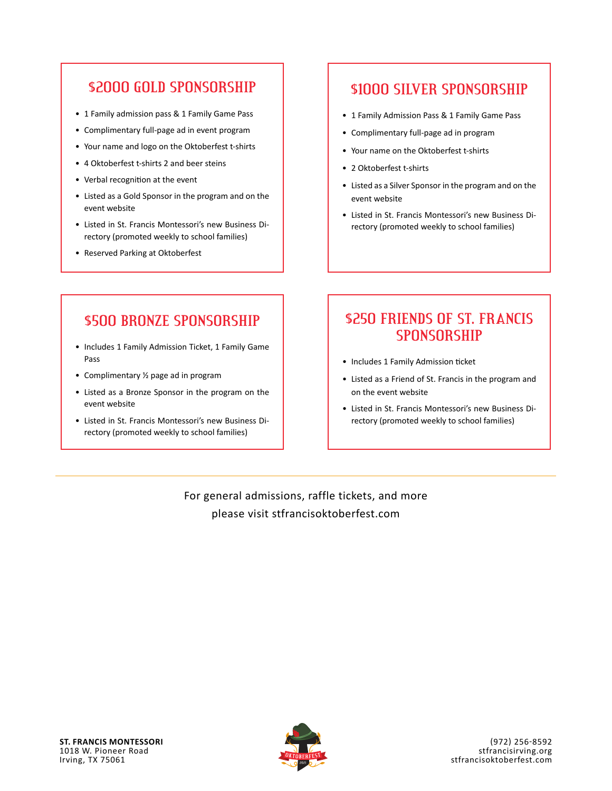#### **\$2000 GOLD SPONSORSHIP**

- 1 Family admission pass & 1 Family Game Pass
- Complimentary full-page ad in event program
- Your name and logo on the Oktoberfest t-shirts
- 4 Oktoberfest t-shirts 2 and beer steins
- Verbal recognition at the event
- Listed as a Gold Sponsor in the program and on the event website
- Listed in St. Francis Montessori's new Business Directory (promoted weekly to school families)
- Reserved Parking at Oktoberfest

#### **\$1000 SILVER SPONSORSHIP**

- 1 Family Admission Pass & 1 Family Game Pass
- Complimentary full-page ad in program
- Your name on the Oktoberfest t-shirts
- 2 Oktoberfest t-shirts
- Listed as a Silver Sponsor in the program and on the event website
- Listed in St. Francis Montessori's new Business Directory (promoted weekly to school families)

## **\$500 BRONZE SPONSORSHIP**

- Includes 1 Family Admission Ticket, 1 Family Game Pass
- Complimentary ½ page ad in program
- Listed as a Bronze Sponsor in the program on the event website
- Listed in St. Francis Montessori's new Business Directory (promoted weekly to school families)

#### **\$250 FRIENDS OF ST. FRANCIS SPONSORSHIP**

- Includes 1 Family Admission ticket
- Listed as a Friend of St. Francis in the program and on the event website
- Listed in St. Francis Montessori's new Business Directory (promoted weekly to school families)

For general admissions, raffle tickets, and more please visit stfrancisoktoberfest.com